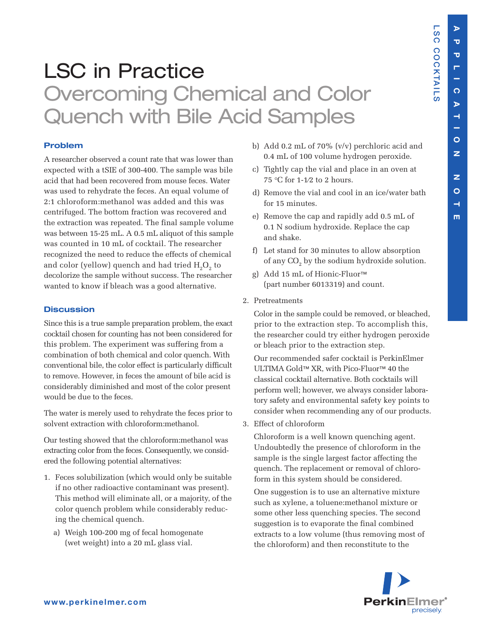**L S C**

**C O C**

**K T AIL S**

**E**

## LSC in Practice Overcoming Chemical and Color Quench with Bile Acid Samples

## **Problem**

A researcher observed a count rate that was lower than expected with a tSIE of 300-400. The sample was bile acid that had been recovered from mouse feces. Water was used to rehydrate the feces. An equal volume of 2:1 chloroform:methanol was added and this was centrifuged. The bottom fraction was recovered and the extraction was repeated. The final sample volume was between 15-25 mL. A 0.5 mL aliquot of this sample was counted in 10 mL of cocktail. The researcher recognized the need to reduce the effects of chemical and color (yellow) quench and had tried  $H<sub>2</sub>O<sub>2</sub>$  to decolorize the sample without success. The researcher wanted to know if bleach was a good alternative.

## **Discussion**

Since this is a true sample preparation problem, the exact cocktail chosen for counting has not been considered for this problem. The experiment was suffering from a combination of both chemical and color quench. With conventional bile, the color effect is particularly difficult to remove. However, in feces the amount of bile acid is considerably diminished and most of the color present would be due to the feces.

The water is merely used to rehydrate the feces prior to solvent extraction with chloroform:methanol.

Our testing showed that the chloroform:methanol was extracting color from the feces. Consequently, we considered the following potential alternatives:

- 1. Feces solubilization (which would only be suitable if no other radioactive contaminant was present). This method will eliminate all, or a majority, of the color quench problem while considerably reducing the chemical quench.
	- a) Weigh 100-200 mg of fecal homogenate (wet weight) into a 20 mL glass vial.
- b) Add 0.2 mL of 70% (v/v) perchloric acid and 0.4 mL of 100 volume hydrogen peroxide.
- c) Tightly cap the vial and place in an oven at 75 °C for 1-1⁄2 to 2 hours.
- d) Remove the vial and cool in an ice/water bath for 15 minutes.
- e) Remove the cap and rapidly add 0.5 mL of 0.1 N sodium hydroxide. Replace the cap and shake.
- f) Let stand for 30 minutes to allow absorption of any  $CO<sub>2</sub>$  by the sodium hydroxide solution.
- g) Add 15 mL of Hionic-Fluor™ (part number 6013319) and count.
- 2. Pretreatments

Color in the sample could be removed, or bleached, prior to the extraction step. To accomplish this, the researcher could try either hydrogen peroxide or bleach prior to the extraction step.

Our recommended safer cocktail is PerkinElmer ULTIMA Gold™ XR, with Pico-Fluor™ 40 the classical cocktail alternative. Both cocktails will perform well; however, we always consider laboratory safety and environmental safety key points to consider when recommending any of our products.

3. Effect of chloroform

Chloroform is a well known quenching agent. Undoubtedly the presence of chloroform in the sample is the single largest factor affecting the quench. The replacement or removal of chloroform in this system should be considered.

One suggestion is to use an alternative mixture such as xylene, a toluene:methanol mixture or some other less quenching species. The second suggestion is to evaporate the final combined extracts to a low volume (thus removing most of the chloroform) and then reconstitute to the